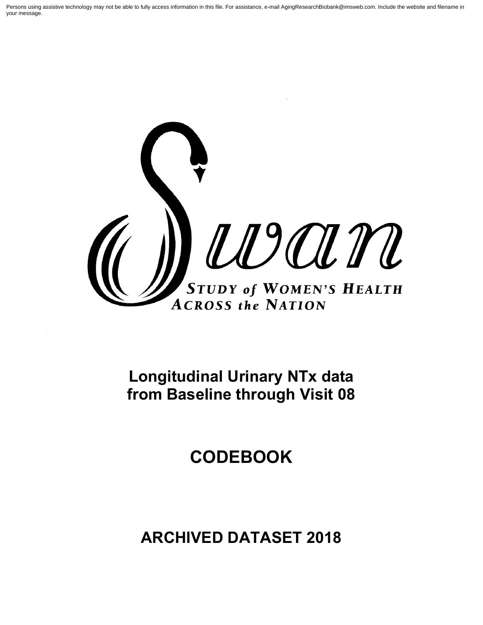Persons using assistive technology may not be able to fully access information in this file. For assistance, e-mail AgingResearchBiobank@imsweb.com. Include the website and filename in your message.



**Longitudinal Urinary NTx data from Baseline through Visit 08**

**CODEBOOK**

**ARCHIVED DATASET 2018**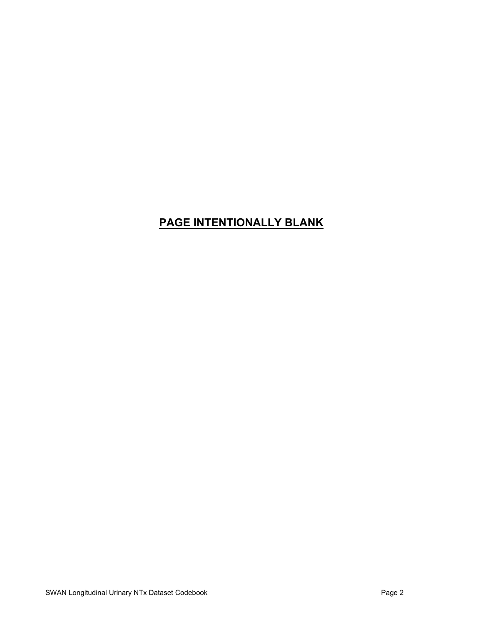# **PAGE INTENTIONALLY BLANK**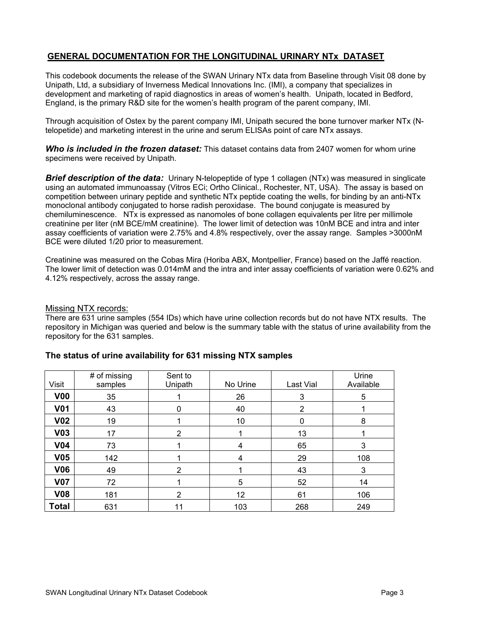# **GENERAL DOCUMENTATION FOR THE LONGITUDINAL URINARY NTx DATASET**

This codebook documents the release of the SWAN Urinary NTx data from Baseline through Visit 08 done by Unipath, Ltd, a subsidiary of Inverness Medical Innovations Inc. (IMI), a company that specializes in development and marketing of rapid diagnostics in areas of women's health. Unipath, located in Bedford, England, is the primary R&D site for the women's health program of the parent company, IMI.

Through acquisition of Ostex by the parent company IMI, Unipath secured the bone turnover marker NTx (Ntelopetide) and marketing interest in the urine and serum ELISAs point of care NTx assays.

*Who is included in the frozen dataset:* This dataset contains data from 2407 women for whom urine specimens were received by Unipath.

**Brief description of the data:** Urinary N-telopeptide of type 1 collagen (NTx) was measured in singlicate using an automated immunoassay (Vitros ECi; Ortho Clinical., Rochester, NT, USA). The assay is based on competition between urinary peptide and synthetic NTx peptide coating the wells, for binding by an anti-NTx monoclonal antibody conjugated to horse radish peroxidase. The bound conjugate is measured by chemiluminescence. NTx is expressed as nanomoles of bone collagen equivalents per litre per millimole creatinine per liter (nM BCE/mM creatinine). The lower limit of detection was 10nM BCE and intra and inter assay coefficients of variation were 2.75% and 4.8% respectively, over the assay range. Samples >3000nM BCE were diluted 1/20 prior to measurement.

Creatinine was measured on the Cobas Mira (Horiba ABX, Montpellier, France) based on the Jaffé reaction. The lower limit of detection was 0.014mM and the intra and inter assay coefficients of variation were 0.62% and 4.12% respectively, across the assay range.

#### Missing NTX records:

There are 631 urine samples (554 IDs) which have urine collection records but do not have NTX results. The repository in Michigan was queried and below is the summary table with the status of urine availability from the repository for the 631 samples.

| <b>Visit</b>    | # of missing<br>samples | Sent to<br>Unipath | No Urine       | Last Vial | Urine<br>Available |
|-----------------|-------------------------|--------------------|----------------|-----------|--------------------|
| V <sub>00</sub> | 35                      |                    | 26             | 3         | 5                  |
| <b>V01</b>      | 43                      | 0                  | 40             | 2         |                    |
| V <sub>02</sub> | 19                      |                    | 10             | 0         | 8                  |
| V <sub>03</sub> | 17                      | 2                  |                | 13        |                    |
| V <sub>04</sub> | 73                      |                    | 4              | 65        | 3                  |
| V <sub>05</sub> | 142                     |                    | $\overline{4}$ | 29        | 108                |
| <b>V06</b>      | 49                      | 2                  |                | 43        | 3                  |
| <b>V07</b>      | 72                      |                    | 5              | 52        | 14                 |
| <b>V08</b>      | 181                     | 2                  | 12             | 61        | 106                |
| <b>Total</b>    | 631                     | 11                 | 103            | 268       | 249                |

### **The status of urine availability for 631 missing NTX samples**